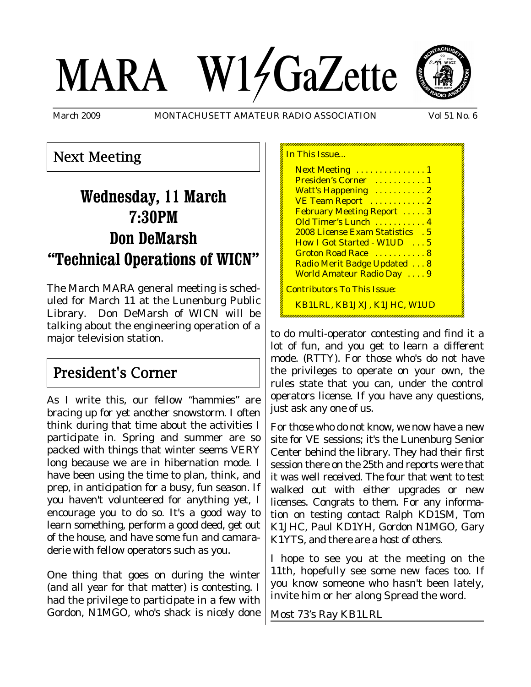# MARA W14GaZette



March 2009 MONTACHUSETT AMATEUR RADIO ASSOCIATION Vol 51 No. 6

In This Issue...

## Next Meeting

# **Wednesday, 11 March 7:30PM Don DeMarsh "Technical Operations of WICN"**

The March MARA general meeting is scheduled for March 11 at the Lunenburg Public Library. Don DeMarsh of WICN will be talking about the engineering operation of a major television station.

# President's Corner

As I write this, our fellow "hammies" are bracing up for yet another snowstorm. I often think during that time about the activities I participate in. Spring and summer are so packed with things that winter seems VERY long because we are in hibernation mode. I have been using the time to plan, think, and prep, in anticipation for a busy, fun season. If you haven't volunteered for anything yet, I encourage you to do so. It's a good way to learn something, perform a good deed, get out of the house, and have some fun and camaraderie with fellow operators such as you.

One thing that goes on during the winter (and all year for that matter) is contesting. I had the privilege to participate in a few with Gordon, N1MGO, who's shack is nicely done

| <u>III TIIS ISSUU</u>               |
|-------------------------------------|
| Next Meeting  1                     |
| Presiden's Corner  1                |
| Watt's Happening  2                 |
| VE Team Report  2                   |
| <b>February Meeting Report 3</b>    |
| Old Timer's Lunch  4                |
| 2008 License Exam Statistics . 5    |
| How I Got Started - W1UD  5         |
| Groton Road Race  8                 |
| Radio Merit Badge Updated  8        |
| World Amateur Radio Day  9          |
| <u> Contributors To This Issue:</u> |
| <u>KB1LRL, KB1JXJ, K1JHC, W1UD</u>  |

to do multi-operator contesting and find it a lot of fun, and you get to learn a different mode. (RTTY). For those who's do not have the privileges to operate on your own, the rules state that you can, under the control operators license. If you have any questions, just ask any one of us.

For those who do not know, we now have a new site for VE sessions; it's the Lunenburg Senior Center behind the library. They had their first session there on the 25th and reports were that it was well received. The four that went to test walked out with either upgrades or new licenses. Congrats to them. For any information on testing contact Ralph KD1SM, Tom K1JHC, Paul KD1YH, Gordon N1MGO, Gary K1YTS, and there are a host of others.

I hope to see you at the meeting on the 11th, hopefully see some new faces too. If you know someone who hasn't been lately, invite him or her along Spread the word.

Most 73's Ray KB1LRL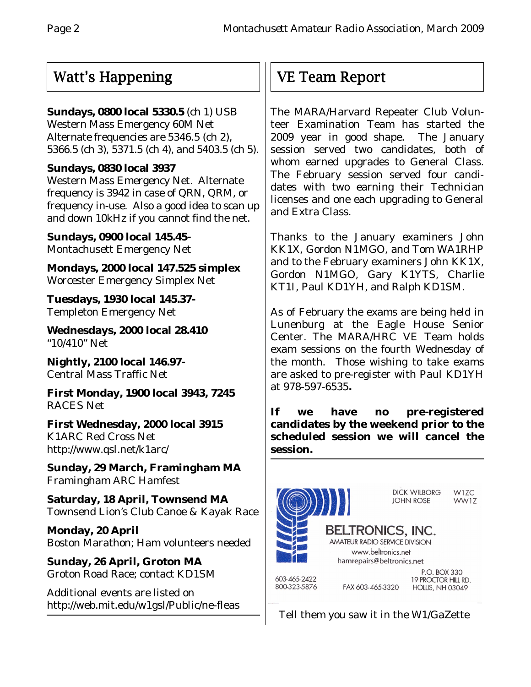# Watt's Happening

#### **Sundays, 0800 local 5330.5** (ch 1) USB

Western Mass Emergency 60M Net Alternate frequencies are 5346.5 (ch 2), 5366.5 (ch 3), 5371.5 (ch 4), and 5403.5 (ch 5).

#### **Sundays, 0830 local 3937**

Western Mass Emergency Net. Alternate frequency is 3942 in case of QRN, QRM, or frequency in-use. Also a good idea to scan up and down 10kHz if you cannot find the net.

**Sundays, 0900 local 145.45-** Montachusett Emergency Net

**Mondays, 2000 local 147.525 simplex** Worcester Emergency Simplex Net

**Tuesdays, 1930 local 145.37-** Templeton Emergency Net

**Wednesdays, 2000 local 28.410** "10/410" Net

**Nightly, 2100 local 146.97-** Central Mass Traffic Net

**First Monday, 1900 local 3943, 7245** RACES Net

**First Wednesday, 2000 local 3915** K1ARC Red Cross Net http://www.qsl.net/k1arc/

**Sunday, 29 March, Framingham MA** Framingham ARC Hamfest

**Saturday, 18 April, Townsend MA** Townsend Lion's Club Canoe & Kayak Race

**Monday, 20 April** Boston Marathon; Ham volunteers needed

**Sunday, 26 April, Groton MA** Groton Road Race; contact KD1SM

Additional events are listed on http://web.mit.edu/w1gsl/Public/ne-fleas

# VE Team Report

The MARA/Harvard Repeater Club Volunteer Examination Team has started the 2009 year in good shape. The January session served two candidates, both of whom earned upgrades to General Class. The February session served four candidates with two earning their Technician licenses and one each upgrading to General and Extra Class.

Thanks to the January examiners John KK1X, Gordon N1MGO, and Tom WA1RHP and to the February examiners John KK1X, Gordon N1MGO, Gary K1YTS, Charlie KT1I, Paul KD1YH, and Ralph KD1SM.

As of February the exams are being held in Lunenburg at the Eagle House Senior Center. The MARA/HRC VE Team holds exam sessions on the fourth Wednesday of the month. Those wishing to take exams are asked to pre-register with Paul KD1YH at 978-597-6535**.**

**If we have no pre-registered candidates by the weekend prior to the scheduled session we will cancel the session.**



Tell them you saw it in the W1/GaZette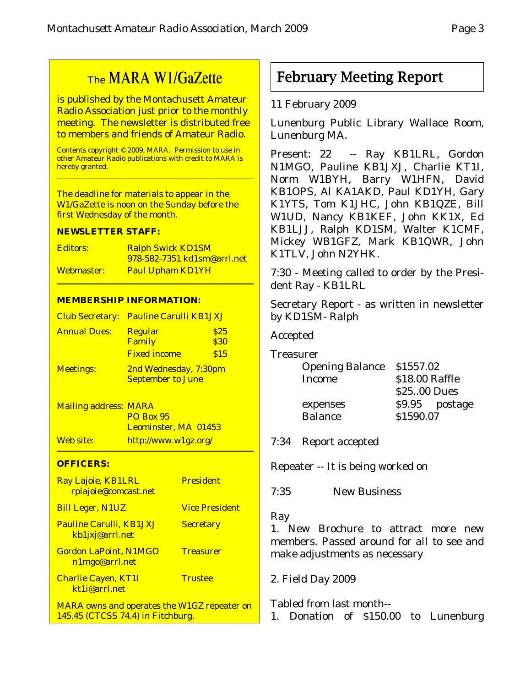# The MARA W1/GaZette

is published by the Montachusett Amateur Radio Association just prior to the monthly meeting. The newsletter is distributed free to members and friends of Amateur Radio.

Contents copyright © 2009, MARA. Permission to use in other Amateur Radio publications with credit to MARA is hereby granted.

The deadline for materials to appear in the W1/GaZette is noon on the Sunday before the first Wednesday of the month.

#### **NEWSLETTER STAFF:**

| Editors:   | <b>Ralph Swick KD1SM</b>           |  |
|------------|------------------------------------|--|
|            | <u>978-582-7351 kd1sm@arrl.net</u> |  |
| Webmaster: | <b>Paul Upham KD1YH</b>            |  |

#### **MEMBERSHIP INFORMATION:**

|                     | <b>Club Secretary: Pauline Carulli KB1JXJ</b> |                       |  |
|---------------------|-----------------------------------------------|-----------------------|--|
| <b>Annual Dues:</b> | <b>Regular</b>                                | \$25                  |  |
|                     | Family                                        | \$30                  |  |
|                     | <b>Fixed income</b>                           | \$15                  |  |
| <b>Meetings:</b>    |                                               | 2nd Wednesday, 7:30pm |  |
|                     | <b>September to June</b>                      |                       |  |

Mailing address: MARA PO Box 95 Leominster, MA 01453 Web site: http://www.w1gz.org/

#### **OFFICERS:**

| Ray Lajoie, KB1LRL<br>rplajoie@comcast.net                                              | <b>President</b>      |
|-----------------------------------------------------------------------------------------|-----------------------|
| <b>Bill Leger, N1UZ</b>                                                                 | <b>Vice President</b> |
| <b>Pauline Carulli, KB1JXJ</b><br>kb1jxj@arrl.net                                       | <b>Secretary</b>      |
| <b>Gordon LaPoint, N1MGO</b><br>n1mgo@arrl.net                                          | <b>Treasurer</b>      |
| <b>Charlie Cayen, KT1I</b><br>kt1i@arrl.net                                             | <b>Trustee</b>        |
| <b>MARA</b> owns and operates the W1GZ repeater on<br>145.45 (CTCSS 74.4) in Fitchburg. |                       |

February Meeting Report

#### 11 February 2009

Lunenburg Public Library Wallace Room, Lunenburg MA.

Present: 22 -- Ray KB1LRL, Gordon N1MGO, Pauline KB1JXJ, Charlie KT1I, Norm W1BYH, Barry W1HFN, David KB1OPS, Al KA1AKD, Paul KD1YH, Gary K1YTS, Tom K1JHC, John KB1QZE, Bill W1UD, Nancy KB1KEF, John KK1X, Ed KB1LJJ, Ralph KD1SM, Walter K1CMF, Mickey WB1GFZ, Mark KB1QWR, John K1TLV, John N2YHK.

7:30 - Meeting called to order by the President Ray - KB1LRL

Secretary Report - as written in newsletter by KD1SM- Ralph

Accepted

Treasurer

| <b>Opening Balance</b> | \$1557.02      |                |
|------------------------|----------------|----------------|
| <b>Income</b>          | \$18.00 Raffle |                |
|                        | \$25.00 Dues   |                |
| expenses               |                | \$9.95 postage |
| <b>Balance</b>         | \$1590.07      |                |
|                        |                |                |

7:34 Report accepted

Repeater -- It is being worked on

7:35 New Business

#### Ray

1. New Brochure to attract more new members. Passed around for all to see and make adjustments as necessary

2. Field Day 2009

Tabled from last month--

1. Donation of \$150.00 to Lunenburg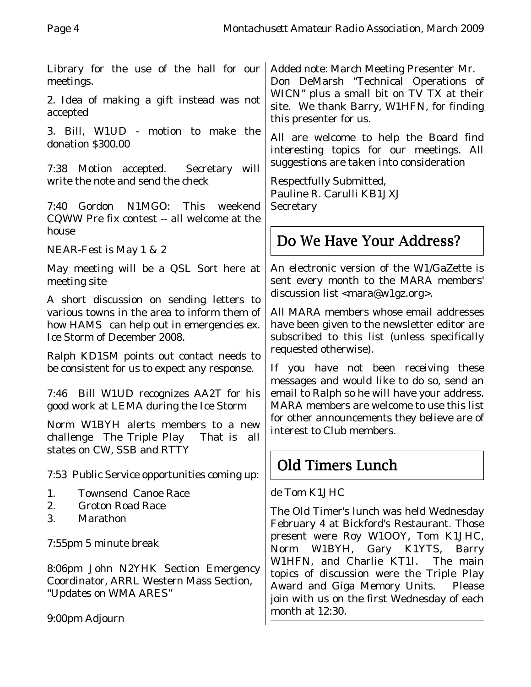Library for the use of the hall for our meetings.

2. Idea of making a gift instead was not accepted

3. Bill, W1UD - motion to make the donation \$300.00

7:38 Motion accepted. Secretary will write the note and send the check

7:40 Gordon N1MGO: This weekend CQWW Pre fix contest -- all welcome at the house

NEAR-Fest is May 1 & 2

May meeting will be a QSL Sort here at meeting site

A short discussion on sending letters to various towns in the area to inform them of how HAMS can help out in emergencies ex. Ice Storm of December 2008.

Ralph KD1SM points out contact needs to be consistent for us to expect any response.

7:46 Bill W1UD recognizes AA2T for his good work at LEMA during the Ice Storm

Norm W1BYH alerts members to a new challenge The Triple Play That is all states on CW, SSB and RTTY

7:53 Public Service opportunities coming up:

- 1. Townsend Canoe Race
- 2. Groton Road Race
- 3. Marathon

7:55pm 5 minute break

8:06pm John N2YHK Section Emergency Coordinator, ARRL Western Mass Section, "Updates on WMA ARES"

9:00pm Adjourn

Added note: March Meeting Presenter Mr. Don DeMarsh "Technical Operations of WICN" plus a small bit on TV TX at their site. We thank Barry, W1HFN, for finding this presenter for us.

All are welcome to help the Board find interesting topics for our meetings. All suggestions are taken into consideration

Respectfully Submitted, Pauline R. Carulli KB1JXJ Secretary

# Do We Have Your Address?

An electronic version of the W1/GaZette is sent every month to the MARA members' discussion list <mara@w1gz.org>.

All MARA members whose email addresses have been given to the newsletter editor are subscribed to this list (unless specifically requested otherwise).

If you have not been receiving these messages and would like to do so, send an email to Ralph so he will have your address. MARA members are welcome to use this list for other announcements they believe are of interest to Club members.

# Old Timers Lunch

de Tom K1JHC

The Old Timer's lunch was held Wednesday February 4 at Bickford's Restaurant. Those present were Roy W1OOY, Tom K1JHC, Norm W1BYH, Gary K1YTS, Barry W1HFN, and Charlie KT1I. The main topics of discussion were the Triple Play Award and Giga Memory Units. Please join with us on the first Wednesday of each month at 12:30.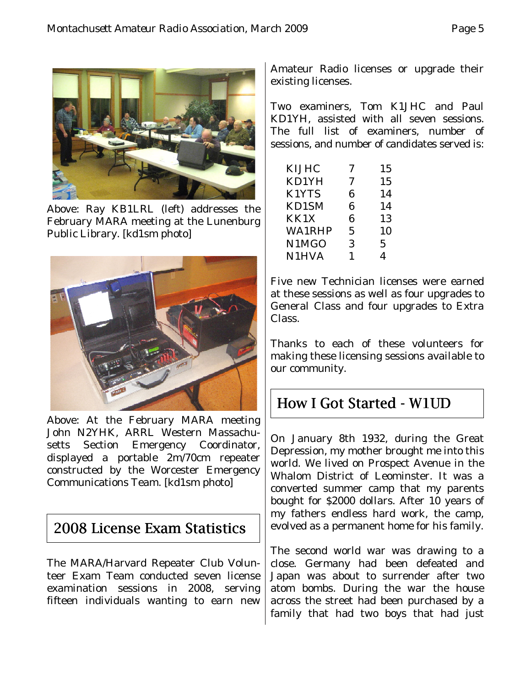

Above: Ray KB1LRL (left) addresses the February MARA meeting at the Lunenburg Public Library. [kd1sm photo]



Above: At the February MARA meeting John N2YHK, ARRL Western Massachusetts Section Emergency Coordinator, displayed a portable 2m/70cm repeater constructed by the Worcester Emergency Communications Team. [kd1sm photo]

## 2008 License Exam Statistics

The MARA/Harvard Repeater Club Volunteer Exam Team conducted seven license examination sessions in 2008, serving fifteen individuals wanting to earn new

Amateur Radio licenses or upgrade their existing licenses.

Two examiners, Tom K1JHC and Paul KD1YH, assisted with all seven sessions. The full list of examiners, number of sessions, and number of candidates served is:

| <b>KIJHC</b>  | 7 | 15 |
|---------------|---|----|
| KD1YH         | 7 | 15 |
| K1YTS         | 6 | 14 |
| KD1SM         | 6 | 14 |
| KK1X          | 6 | 13 |
| <b>WA1RHP</b> | 5 | 10 |
| N1MGO         | 3 | 5  |
| <b>N1HVA</b>  |   |    |

Five new Technician licenses were earned at these sessions as well as four upgrades to General Class and four upgrades to Extra Class.

Thanks to each of these volunteers for making these licensing sessions available to our community.

# How I Got Started - W1UD

On January 8th 1932, during the Great Depression, my mother brought me into this world. We lived on Prospect Avenue in the Whalom District of Leominster. It was a converted summer camp that my parents bought for \$2000 dollars. After 10 years of my fathers endless hard work, the camp, evolved as a permanent home for his family.

The second world war was drawing to a close. Germany had been defeated and Japan was about to surrender after two atom bombs. During the war the house across the street had been purchased by a family that had two boys that had just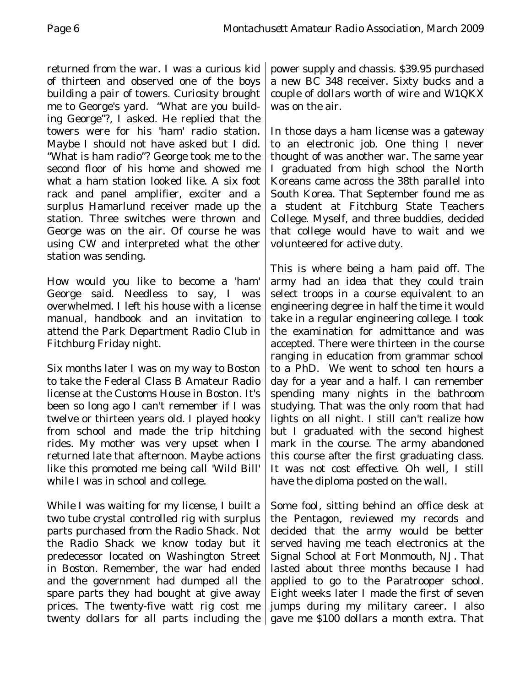returned from the war. I was a curious kid of thirteen and observed one of the boys building a pair of towers. Curiosity brought me to George's yard. "What are you building George"?, I asked. He replied that the towers were for his 'ham' radio station. Maybe I should not have asked but I did. "What is ham radio"? George took me to the second floor of his home and showed me what a ham station looked like. A six foot rack and panel amplifier, exciter and a surplus Hamarlund receiver made up the station. Three switches were thrown and George was on the air. Of course he was using CW and interpreted what the other station was sending.

How would you like to become a 'ham' George said. Needless to say, I was overwhelmed. I left his house with a license manual, handbook and an invitation to attend the Park Department Radio Club in Fitchburg Friday night.

Six months later I was on my way to Boston to take the Federal Class B Amateur Radio license at the Customs House in Boston. It's been so long ago I can't remember if I was twelve or thirteen years old. I played hooky from school and made the trip hitching rides. My mother was very upset when I returned late that afternoon. Maybe actions like this promoted me being call 'Wild Bill' while I was in school and college.

While I was waiting for my license, I built a two tube crystal controlled rig with surplus parts purchased from the Radio Shack. Not the Radio Shack we know today but it predecessor located on Washington Street in Boston. Remember, the war had ended and the government had dumped all the spare parts they had bought at give away prices. The twenty-five watt rig cost me twenty dollars for all parts including the

power supply and chassis. \$39.95 purchased a new BC 348 receiver. Sixty bucks and a couple of dollars worth of wire and W1QKX was on the air.

In those days a ham license was a gateway to an electronic job. One thing I never thought of was another war. The same year I graduated from high school the North Koreans came across the 38th parallel into South Korea. That September found me as a student at Fitchburg State Teachers College. Myself, and three buddies, decided that college would have to wait and we volunteered for active duty.

This is where being a ham paid off. The army had an idea that they could train select troops in a course equivalent to an engineering degree in half the time it would take in a regular engineering college. I took the examination for admittance and was accepted. There were thirteen in the course ranging in education from grammar school to a PhD. We went to school ten hours a day for a year and a half. I can remember spending many nights in the bathroom studying. That was the only room that had lights on all night. I still can't realize how but I graduated with the second highest mark in the course. The army abandoned this course after the first graduating class. It was not cost effective. Oh well, I still have the diploma posted on the wall.

Some fool, sitting behind an office desk at the Pentagon, reviewed my records and decided that the army would be better served having me teach electronics at the Signal School at Fort Monmouth, NJ. That lasted about three months because I had applied to go to the Paratrooper school. Eight weeks later I made the first of seven jumps during my military career. I also gave me \$100 dollars a month extra. That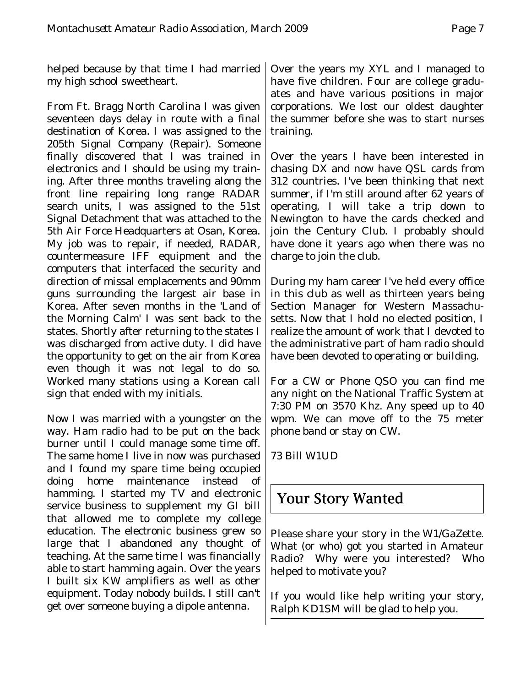helped because by that time I had married my high school sweetheart.

From Ft. Bragg North Carolina I was given seventeen days delay in route with a final destination of Korea. I was assigned to the 205th Signal Company (Repair). Someone finally discovered that I was trained in electronics and I should be using my training. After three months traveling along the front line repairing long range RADAR search units, I was assigned to the 51st Signal Detachment that was attached to the 5th Air Force Headquarters at Osan, Korea. My job was to repair, if needed, RADAR, countermeasure IFF equipment and the computers that interfaced the security and direction of missal emplacements and 90mm guns surrounding the largest air base in Korea. After seven months in the 'Land of the Morning Calm' I was sent back to the states. Shortly after returning to the states I was discharged from active duty. I did have the opportunity to get on the air from Korea even though it was not legal to do so. Worked many stations using a Korean call sign that ended with my initials.

Now I was married with a youngster on the way. Ham radio had to be put on the back burner until I could manage some time off. The same home I live in now was purchased and I found my spare time being occupied doing home maintenance instead of hamming. I started my TV and electronic service business to supplement my GI bill that allowed me to complete my college education. The electronic business grew so large that I abandoned any thought of teaching. At the same time I was financially able to start hamming again. Over the years I built six KW amplifiers as well as other equipment. Today nobody builds. I still can't get over someone buying a dipole antenna.

Over the years my XYL and I managed to have five children. Four are college graduates and have various positions in major corporations. We lost our oldest daughter the summer before she was to start nurses training.

Over the years I have been interested in chasing DX and now have QSL cards from 312 countries. I've been thinking that next summer, if I'm still around after 62 years of operating, I will take a trip down to Newington to have the cards checked and join the Century Club. I probably should have done it years ago when there was no charge to join the club.

During my ham career I've held every office in this club as well as thirteen years being Section Manager for Western Massachusetts. Now that I hold no elected position, I realize the amount of work that I devoted to the administrative part of ham radio should have been devoted to operating or building.

For a CW or Phone QSO you can find me any night on the National Traffic System at 7:30 PM on 3570 Khz. Any speed up to 40 wpm. We can move off to the 75 meter phone band or stay on CW.

73 Bill W1UD

# Your Story Wanted

Please share your story in the W1/GaZette. What (or who) got you started in Amateur Radio? Why were you interested? Who helped to motivate you?

If you would like help writing your story, Ralph KD1SM will be glad to help you.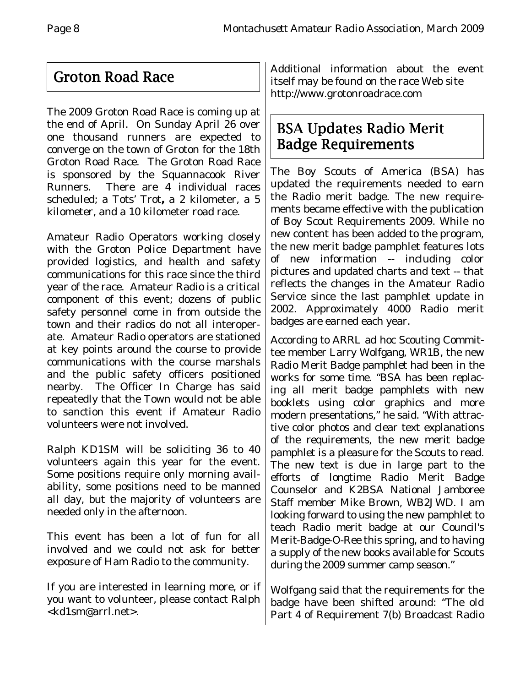# Groton Road Race

The 2009 Groton Road Race is coming up at the end of April. On Sunday April 26 over one thousand runners are expected to converge on the town of Groton for the 18th Groton Road Race. The Groton Road Race is sponsored by the Squannacook River Runners. There are 4 individual races scheduled; a Tots' Trot**,** a 2 kilometer, a 5 kilometer, and a 10 kilometer road race.

Amateur Radio Operators working closely with the Groton Police Department have provided logistics, and health and safety communications for this race since the third year of the race. Amateur Radio is a critical component of this event; dozens of public safety personnel come in from outside the town and their radios do not all interoperate. Amateur Radio operators are stationed at key points around the course to provide communications with the course marshals and the public safety officers positioned nearby. The Officer In Charge has said repeatedly that the Town would not be able to sanction this event if Amateur Radio volunteers were not involved.

Ralph KD1SM will be soliciting 36 to 40 volunteers again this year for the event. Some positions require only morning availability, some positions need to be manned all day, but the majority of volunteers are needed only in the afternoon.

This event has been a lot of fun for all involved and we could not ask for better exposure of Ham Radio to the community.

If you are interested in learning more, or if you want to volunteer, please contact Ralph <kd1sm@arrl.net>.

Additional information about the event itself may be found on the race Web site http://www.grotonroadrace.com

# BSA Updates Radio Merit Badge Requirements

The Boy Scouts of America (BSA) has updated the requirements needed to earn the Radio merit badge. The new requirements became effective with the publication of Boy Scout Requirements 2009. While no new content has been added to the program, the new merit badge pamphlet features lots of new information -- including color pictures and updated charts and text -- that reflects the changes in the Amateur Radio Service since the last pamphlet update in 2002. Approximately 4000 Radio merit badges are earned each year.

According to ARRL ad hoc Scouting Committee member Larry Wolfgang, WR1B, the new Radio Merit Badge pamphlet had been in the works for some time. "BSA has been replacing all merit badge pamphlets with new booklets using color graphics and more modern presentations," he said. "With attractive color photos and clear text explanations of the requirements, the new merit badge pamphlet is a pleasure for the Scouts to read. The new text is due in large part to the efforts of longtime Radio Merit Badge Counselor and K2BSA National Jamboree Staff member Mike Brown, WB2JWD. I am looking forward to using the new pamphlet to teach Radio merit badge at our Council's Merit-Badge-O-Ree this spring, and to having a supply of the new books available for Scouts during the 2009 summer camp season."

Wolfgang said that the requirements for the badge have been shifted around: "The old Part 4 of Requirement 7(b) Broadcast Radio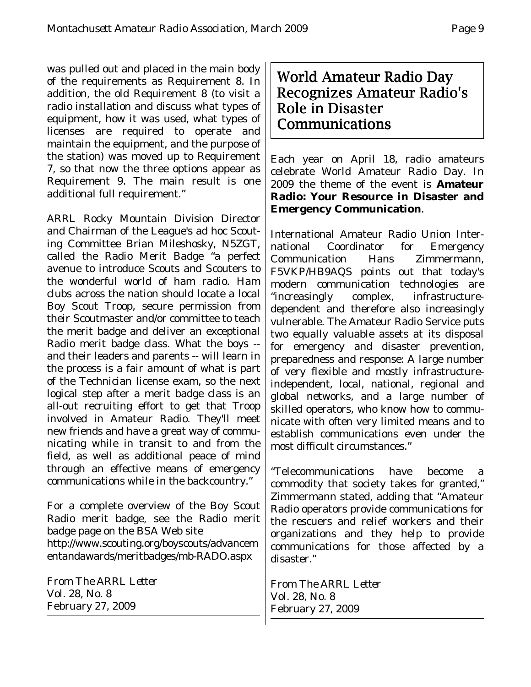was pulled out and placed in the main body of the requirements as Requirement 8. In addition, the old Requirement 8 (to visit a radio installation and discuss what types of equipment, how it was used, what types of licenses are required to operate and maintain the equipment, and the purpose of the station) was moved up to Requirement 7, so that now the three options appear as Requirement 9. The main result is one additional full requirement."

ARRL Rocky Mountain Division Director and Chairman of the League's ad hoc Scouting Committee Brian Mileshosky, N5ZGT, called the Radio Merit Badge "a perfect avenue to introduce Scouts and Scouters to the wonderful world of ham radio. Ham clubs across the nation should locate a local Boy Scout Troop, secure permission from their Scoutmaster and/or committee to teach the merit badge and deliver an exceptional Radio merit badge class. What the boys - and their leaders and parents -- will learn in the process is a fair amount of what is part of the Technician license exam, so the next logical step after a merit badge class is an all-out recruiting effort to get that Troop involved in Amateur Radio. They'll meet new friends and have a great way of communicating while in transit to and from the field, as well as additional peace of mind through an effective means of emergency communications while in the backcountry."

For a complete overview of the Boy Scout Radio merit badge, see the Radio merit badge page on the BSA Web site http://www.scouting.org/boyscouts/advancem entandawards/meritbadges/mb-RADO.aspx

From *The ARRL Letter* Vol. 28, No. 8 February 27, 2009

## World Amateur Radio Day Recognizes Amateur Radio's Role in Disaster Communications

Each year on April 18, radio amateurs celebrate World Amateur Radio Day. In 2009 the theme of the event is **Amateur Radio: Your Resource in Disaster and Emergency Communication**.

International Amateur Radio Union International Coordinator for Emergency Communication Hans Zimmermann, F5VKP/HB9AQS points out that today's modern communication technologies are "increasingly complex, infrastructuredependent and therefore also increasingly vulnerable. The Amateur Radio Service puts two equally valuable assets at its disposal for emergency and disaster prevention, preparedness and response: A large number of very flexible and mostly infrastructureindependent, local, national, regional and global networks, and a large number of skilled operators, who know how to communicate with often very limited means and to establish communications even under the most difficult circumstances."

"Telecommunications have become a commodity that society takes for granted," Zimmermann stated, adding that "Amateur Radio operators provide communications for the rescuers and relief workers and their organizations and they help to provide communications for those affected by a disaster."

From *The ARRL Letter* Vol. 28, No. 8 February 27, 2009